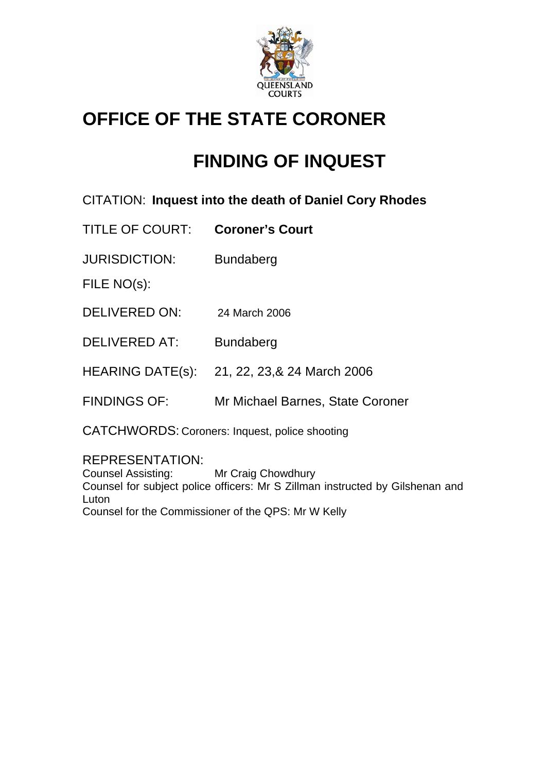

# **OFFICE OF THE STATE CORONER**

# **FINDING OF INQUEST**

CITATION: **Inquest into the death of Daniel Cory Rhodes** 

TITLE OF COURT: **Coroner's Court**

JURISDICTION: Bundaberg

FILE NO(s):

DELIVERED ON: 24 March 2006

DELIVERED AT: Bundaberg

HEARING DATE(s): 21, 22, 23,& 24 March 2006

FINDINGS OF: Mr Michael Barnes, State Coroner

CATCHWORDS: Coroners: Inquest, police shooting

REPRESENTATION:

Counsel Assisting: Mr Craig Chowdhury Counsel for subject police officers: Mr S Zillman instructed by Gilshenan and Luton Counsel for the Commissioner of the QPS: Mr W Kelly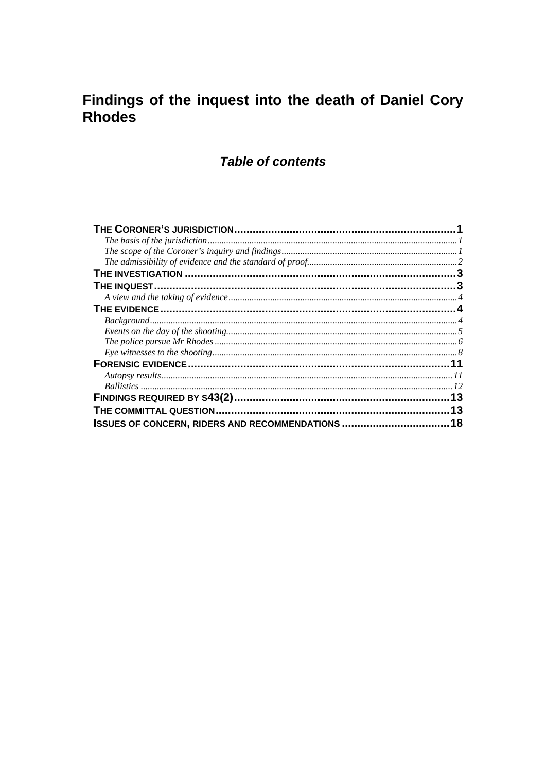# Findings of the inquest into the death of Daniel Cory Rhodes

# **Table of contents**

|                                                       | .13 |
|-------------------------------------------------------|-----|
|                                                       | 13  |
| <b>ISSUES OF CONCERN, RIDERS AND RECOMMENDATIONS </b> | 18  |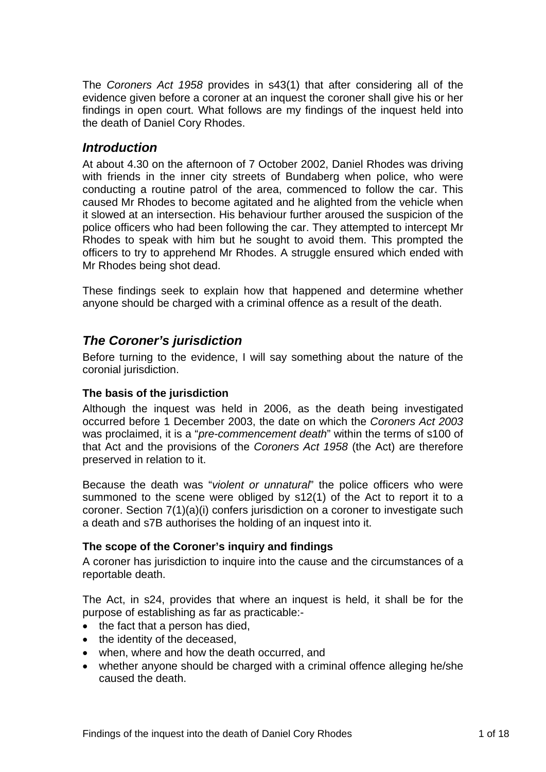<span id="page-2-0"></span>The *Coroners Act 1958* provides in s43(1) that after considering all of the evidence given before a coroner at an inquest the coroner shall give his or her findings in open court. What follows are my findings of the inquest held into the death of Daniel Cory Rhodes.

### *Introduction*

At about 4.30 on the afternoon of 7 October 2002, Daniel Rhodes was driving with friends in the inner city streets of Bundaberg when police, who were conducting a routine patrol of the area, commenced to follow the car. This caused Mr Rhodes to become agitated and he alighted from the vehicle when it slowed at an intersection. His behaviour further aroused the suspicion of the police officers who had been following the car. They attempted to intercept Mr Rhodes to speak with him but he sought to avoid them. This prompted the officers to try to apprehend Mr Rhodes. A struggle ensured which ended with Mr Rhodes being shot dead.

These findings seek to explain how that happened and determine whether anyone should be charged with a criminal offence as a result of the death.

# *The Coroner's jurisdiction*

Before turning to the evidence, I will say something about the nature of the coronial jurisdiction.

#### **The basis of the jurisdiction**

Although the inquest was held in 2006, as the death being investigated occurred before 1 December 2003, the date on which the *Coroners Act 2003* was proclaimed, it is a "*pre-commencement death*" within the terms of s100 of that Act and the provisions of the *Coroners Act 1958* (the Act) are therefore preserved in relation to it.

Because the death was "*violent or unnatural*" the police officers who were summoned to the scene were obliged by s12(1) of the Act to report it to a coroner. Section 7(1)(a)(i) confers jurisdiction on a coroner to investigate such a death and s7B authorises the holding of an inquest into it.

#### **The scope of the Coroner's inquiry and findings**

A coroner has jurisdiction to inquire into the cause and the circumstances of a reportable death.

The Act, in s24, provides that where an inquest is held, it shall be for the purpose of establishing as far as practicable:-

- the fact that a person has died,
- the identity of the deceased.
- when, where and how the death occurred, and
- whether anyone should be charged with a criminal offence alleging he/she caused the death.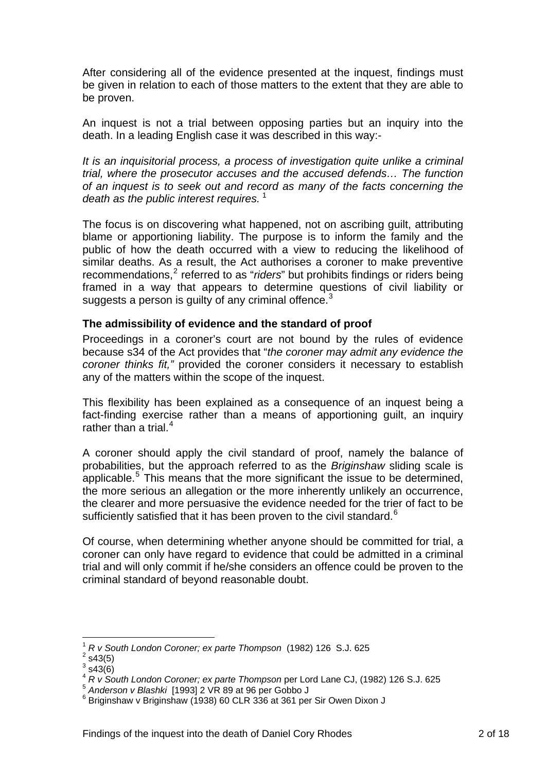<span id="page-3-0"></span>After considering all of the evidence presented at the inquest, findings must be given in relation to each of those matters to the extent that they are able to be proven.

An inquest is not a trial between opposing parties but an inquiry into the death. In a leading English case it was described in this way:-

*It is an inquisitorial process, a process of investigation quite unlike a criminal trial, where the prosecutor accuses and the accused defends… The function of an inquest is to seek out and record as many of the facts concerning the death as the public interest requires.*<sup>[1](#page-3-1)</sup>

The focus is on discovering what happened, not on ascribing guilt, attributing blame or apportioning liability. The purpose is to inform the family and the public of how the death occurred with a view to reducing the likelihood of similar deaths. As a result, the Act authorises a coroner to make preventive recommendations,<sup>[2](#page-3-2)</sup> referred to as "*riders*" but prohibits findings or riders being framed in a way that appears to determine questions of civil liability or suggests a person is quilty of any criminal offence. $3$ 

#### **The admissibility of evidence and the standard of proof**

Proceedings in a coroner's court are not bound by the rules of evidence because s34 of the Act provides that "*the coroner may admit any evidence the coroner thinks fit,"* provided the coroner considers it necessary to establish any of the matters within the scope of the inquest.

This flexibility has been explained as a consequence of an inquest being a fact-finding exercise rather than a means of apportioning guilt, an inquiry rather than a trial. $4$ 

A coroner should apply the civil standard of proof, namely the balance of probabilities, but the approach referred to as the *Briginshaw* sliding scale is applicable.<sup>[5](#page-3-5)</sup> This means that the more significant the issue to be determined, the more serious an allegation or the more inherently unlikely an occurrence, the clearer and more persuasive the evidence needed for the trier of fact to be sufficiently satisfied that it has been proven to the civil standard. $6$ 

Of course, when determining whether anyone should be committed for trial, a coroner can only have regard to evidence that could be admitted in a criminal trial and will only commit if he/she considers an offence could be proven to the criminal standard of beyond reasonable doubt.

1

<sup>1</sup> *R v South London Coroner; ex parte Thompson* (1982) 126 S.J. 625 2

<span id="page-3-2"></span><span id="page-3-1"></span> $2$  s43(5)

 $3$  s43(6)

<span id="page-3-4"></span><span id="page-3-3"></span><sup>&</sup>lt;sup>4</sup> *R v South London Coroner; ex parte Thompson* per Lord Lane CJ, (1982) 126 S.J. 625<br>
<sup>5</sup> Anderson v Blashki [1993] 2 VR 89 at 96 per Gobbo J

<span id="page-3-6"></span><span id="page-3-5"></span> $6$  Briginshaw v Briginshaw (1938) 60 CLR 336 at 361 per Sir Owen Dixon J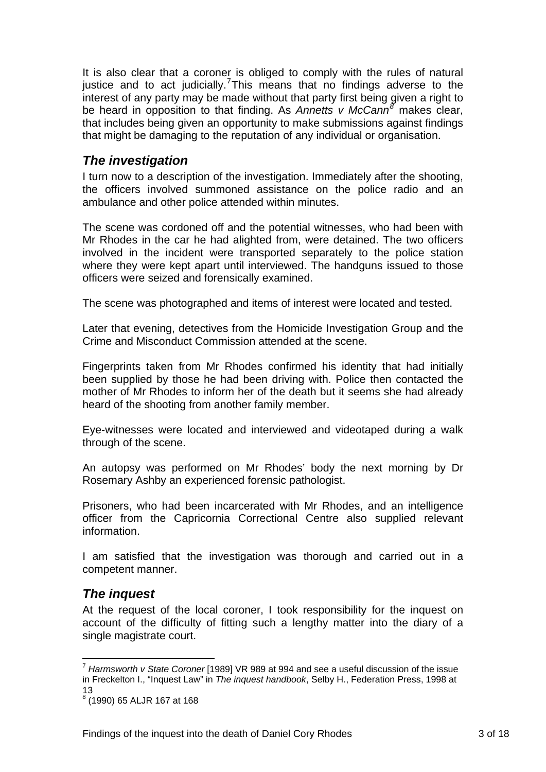<span id="page-4-0"></span>It is also clear that a coroner is obliged to comply with the rules of natural justice and to act judicially.<sup>[7](#page-4-1)</sup>This means that no findings adverse to the interest of any party may be made without that party first being given a right to be heard in opposition to that finding. As *Annetts v McCann[8](#page-4-2)* makes clear, that includes being given an opportunity to make submissions against findings that might be damaging to the reputation of any individual or organisation.

# *The investigation*

I turn now to a description of the investigation. Immediately after the shooting, the officers involved summoned assistance on the police radio and an ambulance and other police attended within minutes.

The scene was cordoned off and the potential witnesses, who had been with Mr Rhodes in the car he had alighted from, were detained. The two officers involved in the incident were transported separately to the police station where they were kept apart until interviewed. The handguns issued to those officers were seized and forensically examined.

The scene was photographed and items of interest were located and tested.

Later that evening, detectives from the Homicide Investigation Group and the Crime and Misconduct Commission attended at the scene.

Fingerprints taken from Mr Rhodes confirmed his identity that had initially been supplied by those he had been driving with. Police then contacted the mother of Mr Rhodes to inform her of the death but it seems she had already heard of the shooting from another family member.

Eye-witnesses were located and interviewed and videotaped during a walk through of the scene.

An autopsy was performed on Mr Rhodes' body the next morning by Dr Rosemary Ashby an experienced forensic pathologist.

Prisoners, who had been incarcerated with Mr Rhodes, and an intelligence officer from the Capricornia Correctional Centre also supplied relevant information.

I am satisfied that the investigation was thorough and carried out in a competent manner.

# *The inquest*

1

At the request of the local coroner, I took responsibility for the inquest on account of the difficulty of fitting such a lengthy matter into the diary of a single magistrate court.

<span id="page-4-1"></span><sup>7</sup> *Harmsworth v State Coroner* [1989] VR 989 at 994 and see a useful discussion of the issue in Freckelton I., "Inquest Law" in *The inquest handbook*, Selby H., Federation Press, 1998 at 13

<span id="page-4-2"></span><sup>8</sup> (1990) 65 ALJR 167 at 168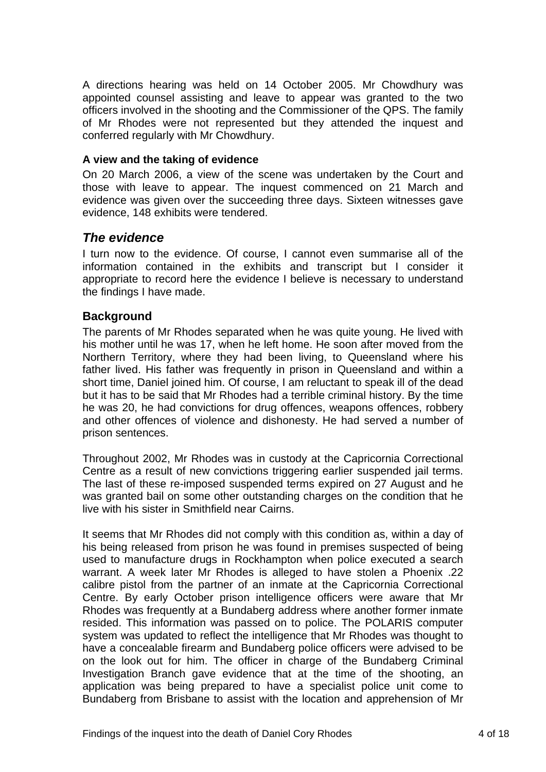<span id="page-5-0"></span>A directions hearing was held on 14 October 2005. Mr Chowdhury was appointed counsel assisting and leave to appear was granted to the two officers involved in the shooting and the Commissioner of the QPS. The family of Mr Rhodes were not represented but they attended the inquest and conferred regularly with Mr Chowdhury.

#### **A view and the taking of evidence**

On 20 March 2006, a view of the scene was undertaken by the Court and those with leave to appear. The inquest commenced on 21 March and evidence was given over the succeeding three days. Sixteen witnesses gave evidence, 148 exhibits were tendered.

### *The evidence*

I turn now to the evidence. Of course, I cannot even summarise all of the information contained in the exhibits and transcript but I consider it appropriate to record here the evidence I believe is necessary to understand the findings I have made.

#### **Background**

The parents of Mr Rhodes separated when he was quite young. He lived with his mother until he was 17, when he left home. He soon after moved from the Northern Territory, where they had been living, to Queensland where his father lived. His father was frequently in prison in Queensland and within a short time, Daniel joined him. Of course, I am reluctant to speak ill of the dead but it has to be said that Mr Rhodes had a terrible criminal history. By the time he was 20, he had convictions for drug offences, weapons offences, robbery and other offences of violence and dishonesty. He had served a number of prison sentences.

Throughout 2002, Mr Rhodes was in custody at the Capricornia Correctional Centre as a result of new convictions triggering earlier suspended jail terms. The last of these re-imposed suspended terms expired on 27 August and he was granted bail on some other outstanding charges on the condition that he live with his sister in Smithfield near Cairns.

It seems that Mr Rhodes did not comply with this condition as, within a day of his being released from prison he was found in premises suspected of being used to manufacture drugs in Rockhampton when police executed a search warrant. A week later Mr Rhodes is alleged to have stolen a Phoenix .22 calibre pistol from the partner of an inmate at the Capricornia Correctional Centre. By early October prison intelligence officers were aware that Mr Rhodes was frequently at a Bundaberg address where another former inmate resided. This information was passed on to police. The POLARIS computer system was updated to reflect the intelligence that Mr Rhodes was thought to have a concealable firearm and Bundaberg police officers were advised to be on the look out for him. The officer in charge of the Bundaberg Criminal Investigation Branch gave evidence that at the time of the shooting, an application was being prepared to have a specialist police unit come to Bundaberg from Brisbane to assist with the location and apprehension of Mr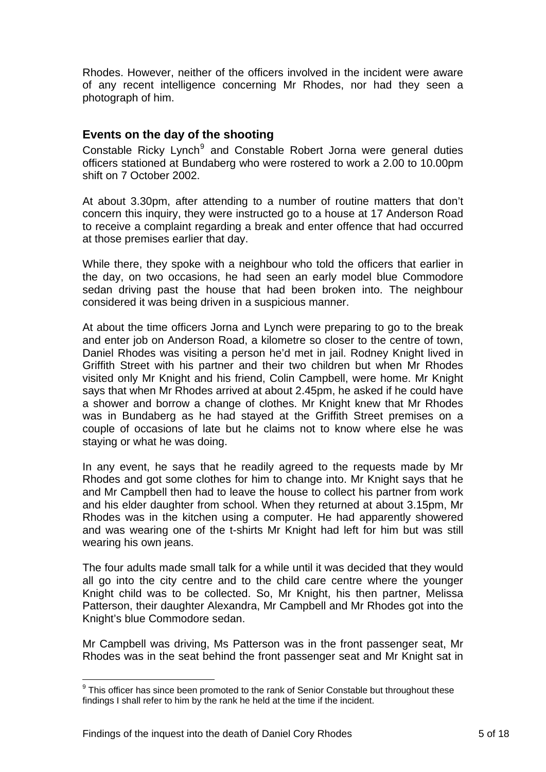<span id="page-6-0"></span>Rhodes. However, neither of the officers involved in the incident were aware of any recent intelligence concerning Mr Rhodes, nor had they seen a photograph of him.

#### **Events on the day of the shooting**

Constable Ricky Lynch<sup>[9](#page-6-1)</sup> and Constable Robert Jorna were general duties officers stationed at Bundaberg who were rostered to work a 2.00 to 10.00pm shift on 7 October 2002.

At about 3.30pm, after attending to a number of routine matters that don't concern this inquiry, they were instructed go to a house at 17 Anderson Road to receive a complaint regarding a break and enter offence that had occurred at those premises earlier that day.

While there, they spoke with a neighbour who told the officers that earlier in the day, on two occasions, he had seen an early model blue Commodore sedan driving past the house that had been broken into. The neighbour considered it was being driven in a suspicious manner.

At about the time officers Jorna and Lynch were preparing to go to the break and enter job on Anderson Road, a kilometre so closer to the centre of town, Daniel Rhodes was visiting a person he'd met in jail. Rodney Knight lived in Griffith Street with his partner and their two children but when Mr Rhodes visited only Mr Knight and his friend, Colin Campbell, were home. Mr Knight says that when Mr Rhodes arrived at about 2.45pm, he asked if he could have a shower and borrow a change of clothes. Mr Knight knew that Mr Rhodes was in Bundaberg as he had stayed at the Griffith Street premises on a couple of occasions of late but he claims not to know where else he was staying or what he was doing.

In any event, he says that he readily agreed to the requests made by Mr Rhodes and got some clothes for him to change into. Mr Knight says that he and Mr Campbell then had to leave the house to collect his partner from work and his elder daughter from school. When they returned at about 3.15pm, Mr Rhodes was in the kitchen using a computer. He had apparently showered and was wearing one of the t-shirts Mr Knight had left for him but was still wearing his own jeans.

The four adults made small talk for a while until it was decided that they would all go into the city centre and to the child care centre where the younger Knight child was to be collected. So, Mr Knight, his then partner, Melissa Patterson, their daughter Alexandra, Mr Campbell and Mr Rhodes got into the Knight's blue Commodore sedan.

Mr Campbell was driving, Ms Patterson was in the front passenger seat, Mr Rhodes was in the seat behind the front passenger seat and Mr Knight sat in

<span id="page-6-1"></span><sup>1</sup>  $9$  This officer has since been promoted to the rank of Senior Constable but throughout these findings I shall refer to him by the rank he held at the time if the incident.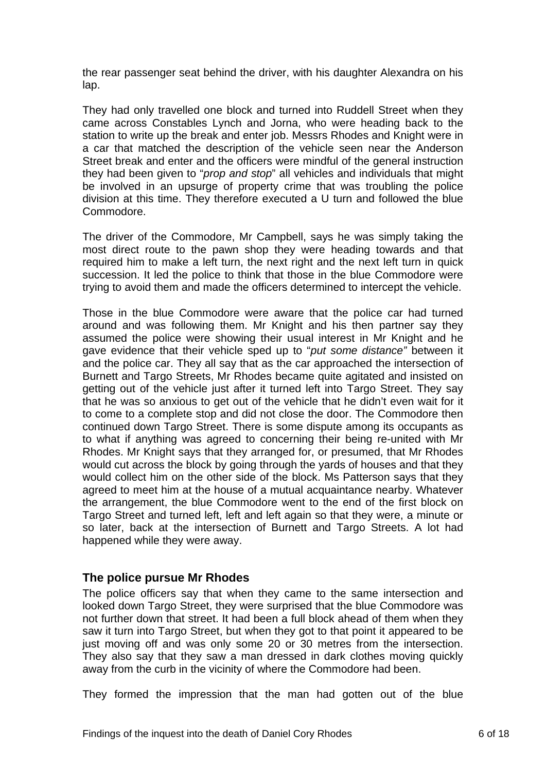<span id="page-7-0"></span>the rear passenger seat behind the driver, with his daughter Alexandra on his lap.

They had only travelled one block and turned into Ruddell Street when they came across Constables Lynch and Jorna, who were heading back to the station to write up the break and enter job. Messrs Rhodes and Knight were in a car that matched the description of the vehicle seen near the Anderson Street break and enter and the officers were mindful of the general instruction they had been given to "*prop and stop*" all vehicles and individuals that might be involved in an upsurge of property crime that was troubling the police division at this time. They therefore executed a U turn and followed the blue Commodore.

The driver of the Commodore, Mr Campbell, says he was simply taking the most direct route to the pawn shop they were heading towards and that required him to make a left turn, the next right and the next left turn in quick succession. It led the police to think that those in the blue Commodore were trying to avoid them and made the officers determined to intercept the vehicle.

Those in the blue Commodore were aware that the police car had turned around and was following them. Mr Knight and his then partner say they assumed the police were showing their usual interest in Mr Knight and he gave evidence that their vehicle sped up to "*put some distance"* between it and the police car. They all say that as the car approached the intersection of Burnett and Targo Streets, Mr Rhodes became quite agitated and insisted on getting out of the vehicle just after it turned left into Targo Street. They say that he was so anxious to get out of the vehicle that he didn't even wait for it to come to a complete stop and did not close the door. The Commodore then continued down Targo Street. There is some dispute among its occupants as to what if anything was agreed to concerning their being re-united with Mr Rhodes. Mr Knight says that they arranged for, or presumed, that Mr Rhodes would cut across the block by going through the yards of houses and that they would collect him on the other side of the block. Ms Patterson says that they agreed to meet him at the house of a mutual acquaintance nearby. Whatever the arrangement, the blue Commodore went to the end of the first block on Targo Street and turned left, left and left again so that they were, a minute or so later, back at the intersection of Burnett and Targo Streets. A lot had happened while they were away.

#### **The police pursue Mr Rhodes**

The police officers say that when they came to the same intersection and looked down Targo Street, they were surprised that the blue Commodore was not further down that street. It had been a full block ahead of them when they saw it turn into Targo Street, but when they got to that point it appeared to be just moving off and was only some 20 or 30 metres from the intersection. They also say that they saw a man dressed in dark clothes moving quickly away from the curb in the vicinity of where the Commodore had been.

They formed the impression that the man had gotten out of the blue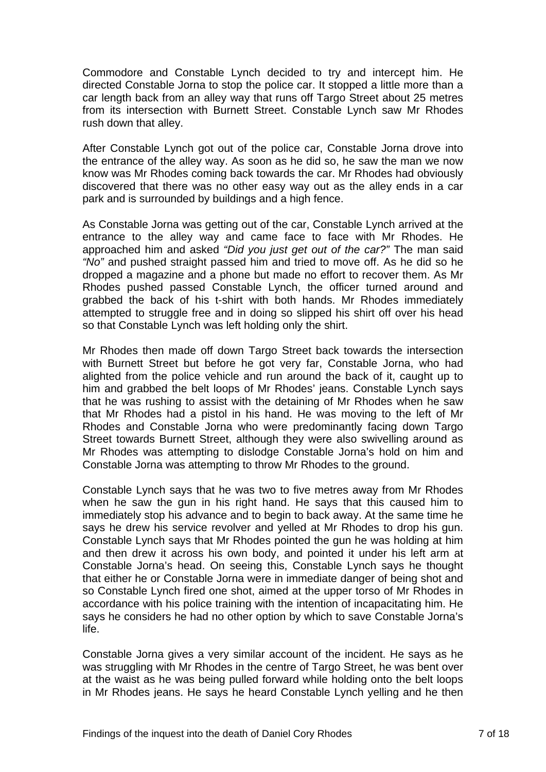Commodore and Constable Lynch decided to try and intercept him. He directed Constable Jorna to stop the police car. It stopped a little more than a car length back from an alley way that runs off Targo Street about 25 metres from its intersection with Burnett Street. Constable Lynch saw Mr Rhodes rush down that alley.

After Constable Lynch got out of the police car, Constable Jorna drove into the entrance of the alley way. As soon as he did so, he saw the man we now know was Mr Rhodes coming back towards the car. Mr Rhodes had obviously discovered that there was no other easy way out as the alley ends in a car park and is surrounded by buildings and a high fence.

As Constable Jorna was getting out of the car, Constable Lynch arrived at the entrance to the alley way and came face to face with Mr Rhodes. He approached him and asked *"Did you just get out of the car?"* The man said *"No"* and pushed straight passed him and tried to move off. As he did so he dropped a magazine and a phone but made no effort to recover them. As Mr Rhodes pushed passed Constable Lynch, the officer turned around and grabbed the back of his t-shirt with both hands. Mr Rhodes immediately attempted to struggle free and in doing so slipped his shirt off over his head so that Constable Lynch was left holding only the shirt.

Mr Rhodes then made off down Targo Street back towards the intersection with Burnett Street but before he got very far, Constable Jorna, who had alighted from the police vehicle and run around the back of it, caught up to him and grabbed the belt loops of Mr Rhodes' jeans. Constable Lynch says that he was rushing to assist with the detaining of Mr Rhodes when he saw that Mr Rhodes had a pistol in his hand. He was moving to the left of Mr Rhodes and Constable Jorna who were predominantly facing down Targo Street towards Burnett Street, although they were also swivelling around as Mr Rhodes was attempting to dislodge Constable Jorna's hold on him and Constable Jorna was attempting to throw Mr Rhodes to the ground.

Constable Lynch says that he was two to five metres away from Mr Rhodes when he saw the gun in his right hand. He says that this caused him to immediately stop his advance and to begin to back away. At the same time he says he drew his service revolver and yelled at Mr Rhodes to drop his gun. Constable Lynch says that Mr Rhodes pointed the gun he was holding at him and then drew it across his own body, and pointed it under his left arm at Constable Jorna's head. On seeing this, Constable Lynch says he thought that either he or Constable Jorna were in immediate danger of being shot and so Constable Lynch fired one shot, aimed at the upper torso of Mr Rhodes in accordance with his police training with the intention of incapacitating him. He says he considers he had no other option by which to save Constable Jorna's life.

Constable Jorna gives a very similar account of the incident. He says as he was struggling with Mr Rhodes in the centre of Targo Street, he was bent over at the waist as he was being pulled forward while holding onto the belt loops in Mr Rhodes jeans. He says he heard Constable Lynch yelling and he then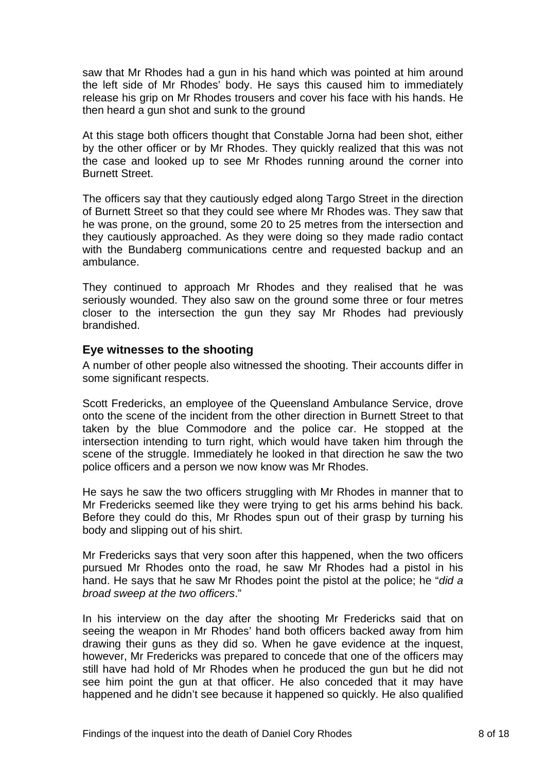<span id="page-9-0"></span>saw that Mr Rhodes had a gun in his hand which was pointed at him around the left side of Mr Rhodes' body. He says this caused him to immediately release his grip on Mr Rhodes trousers and cover his face with his hands. He then heard a gun shot and sunk to the ground

At this stage both officers thought that Constable Jorna had been shot, either by the other officer or by Mr Rhodes. They quickly realized that this was not the case and looked up to see Mr Rhodes running around the corner into Burnett Street.

The officers say that they cautiously edged along Targo Street in the direction of Burnett Street so that they could see where Mr Rhodes was. They saw that he was prone, on the ground, some 20 to 25 metres from the intersection and they cautiously approached. As they were doing so they made radio contact with the Bundaberg communications centre and requested backup and an ambulance.

They continued to approach Mr Rhodes and they realised that he was seriously wounded. They also saw on the ground some three or four metres closer to the intersection the gun they say Mr Rhodes had previously brandished.

#### **Eye witnesses to the shooting**

A number of other people also witnessed the shooting. Their accounts differ in some significant respects.

Scott Fredericks, an employee of the Queensland Ambulance Service, drove onto the scene of the incident from the other direction in Burnett Street to that taken by the blue Commodore and the police car. He stopped at the intersection intending to turn right, which would have taken him through the scene of the struggle. Immediately he looked in that direction he saw the two police officers and a person we now know was Mr Rhodes.

He says he saw the two officers struggling with Mr Rhodes in manner that to Mr Fredericks seemed like they were trying to get his arms behind his back. Before they could do this, Mr Rhodes spun out of their grasp by turning his body and slipping out of his shirt.

Mr Fredericks says that very soon after this happened, when the two officers pursued Mr Rhodes onto the road, he saw Mr Rhodes had a pistol in his hand. He says that he saw Mr Rhodes point the pistol at the police; he "*did a broad sweep at the two officers*."

In his interview on the day after the shooting Mr Fredericks said that on seeing the weapon in Mr Rhodes' hand both officers backed away from him drawing their guns as they did so. When he gave evidence at the inquest, however, Mr Fredericks was prepared to concede that one of the officers may still have had hold of Mr Rhodes when he produced the gun but he did not see him point the gun at that officer. He also conceded that it may have happened and he didn't see because it happened so quickly. He also qualified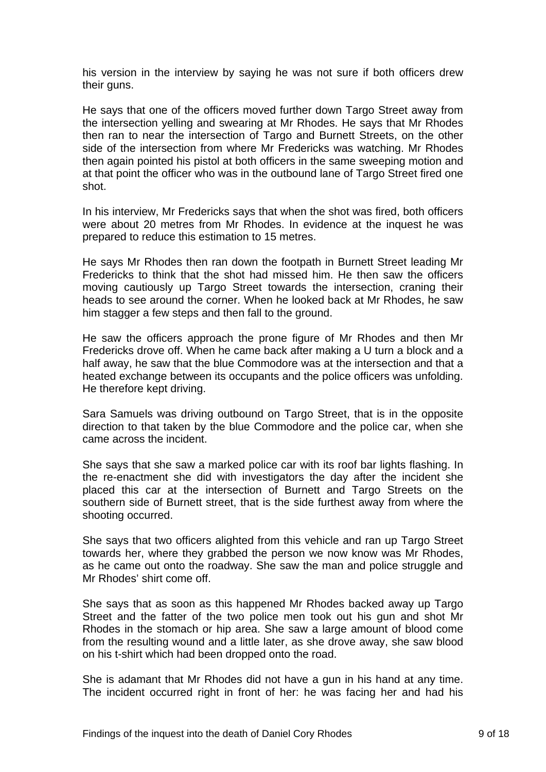his version in the interview by saying he was not sure if both officers drew their guns.

He says that one of the officers moved further down Targo Street away from the intersection yelling and swearing at Mr Rhodes. He says that Mr Rhodes then ran to near the intersection of Targo and Burnett Streets, on the other side of the intersection from where Mr Fredericks was watching. Mr Rhodes then again pointed his pistol at both officers in the same sweeping motion and at that point the officer who was in the outbound lane of Targo Street fired one shot.

In his interview, Mr Fredericks says that when the shot was fired, both officers were about 20 metres from Mr Rhodes. In evidence at the inquest he was prepared to reduce this estimation to 15 metres.

He says Mr Rhodes then ran down the footpath in Burnett Street leading Mr Fredericks to think that the shot had missed him. He then saw the officers moving cautiously up Targo Street towards the intersection, craning their heads to see around the corner. When he looked back at Mr Rhodes, he saw him stagger a few steps and then fall to the ground.

He saw the officers approach the prone figure of Mr Rhodes and then Mr Fredericks drove off. When he came back after making a U turn a block and a half away, he saw that the blue Commodore was at the intersection and that a heated exchange between its occupants and the police officers was unfolding. He therefore kept driving.

Sara Samuels was driving outbound on Targo Street, that is in the opposite direction to that taken by the blue Commodore and the police car, when she came across the incident.

She says that she saw a marked police car with its roof bar lights flashing. In the re-enactment she did with investigators the day after the incident she placed this car at the intersection of Burnett and Targo Streets on the southern side of Burnett street, that is the side furthest away from where the shooting occurred.

She says that two officers alighted from this vehicle and ran up Targo Street towards her, where they grabbed the person we now know was Mr Rhodes, as he came out onto the roadway. She saw the man and police struggle and Mr Rhodes' shirt come off.

She says that as soon as this happened Mr Rhodes backed away up Targo Street and the fatter of the two police men took out his gun and shot Mr Rhodes in the stomach or hip area. She saw a large amount of blood come from the resulting wound and a little later, as she drove away, she saw blood on his t-shirt which had been dropped onto the road.

She is adamant that Mr Rhodes did not have a gun in his hand at any time. The incident occurred right in front of her: he was facing her and had his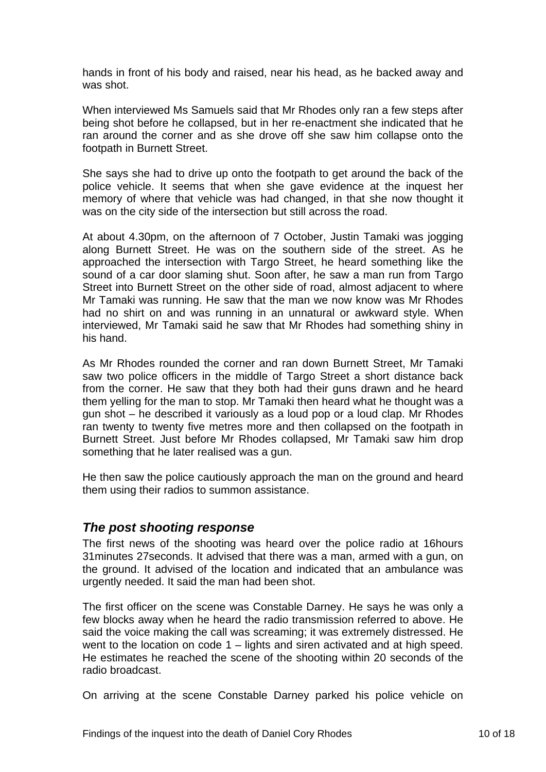hands in front of his body and raised, near his head, as he backed away and was shot.

When interviewed Ms Samuels said that Mr Rhodes only ran a few steps after being shot before he collapsed, but in her re-enactment she indicated that he ran around the corner and as she drove off she saw him collapse onto the footpath in Burnett Street.

She says she had to drive up onto the footpath to get around the back of the police vehicle. It seems that when she gave evidence at the inquest her memory of where that vehicle was had changed, in that she now thought it was on the city side of the intersection but still across the road.

At about 4.30pm, on the afternoon of 7 October, Justin Tamaki was jogging along Burnett Street. He was on the southern side of the street. As he approached the intersection with Targo Street, he heard something like the sound of a car door slaming shut. Soon after, he saw a man run from Targo Street into Burnett Street on the other side of road, almost adjacent to where Mr Tamaki was running. He saw that the man we now know was Mr Rhodes had no shirt on and was running in an unnatural or awkward style. When interviewed, Mr Tamaki said he saw that Mr Rhodes had something shiny in his hand.

As Mr Rhodes rounded the corner and ran down Burnett Street, Mr Tamaki saw two police officers in the middle of Targo Street a short distance back from the corner. He saw that they both had their guns drawn and he heard them yelling for the man to stop. Mr Tamaki then heard what he thought was a gun shot – he described it variously as a loud pop or a loud clap. Mr Rhodes ran twenty to twenty five metres more and then collapsed on the footpath in Burnett Street. Just before Mr Rhodes collapsed, Mr Tamaki saw him drop something that he later realised was a gun.

He then saw the police cautiously approach the man on the ground and heard them using their radios to summon assistance.

# *The post shooting response*

The first news of the shooting was heard over the police radio at 16hours 31minutes 27seconds. It advised that there was a man, armed with a gun, on the ground. It advised of the location and indicated that an ambulance was urgently needed. It said the man had been shot.

The first officer on the scene was Constable Darney. He says he was only a few blocks away when he heard the radio transmission referred to above. He said the voice making the call was screaming; it was extremely distressed. He went to the location on code 1 – lights and siren activated and at high speed. He estimates he reached the scene of the shooting within 20 seconds of the radio broadcast.

On arriving at the scene Constable Darney parked his police vehicle on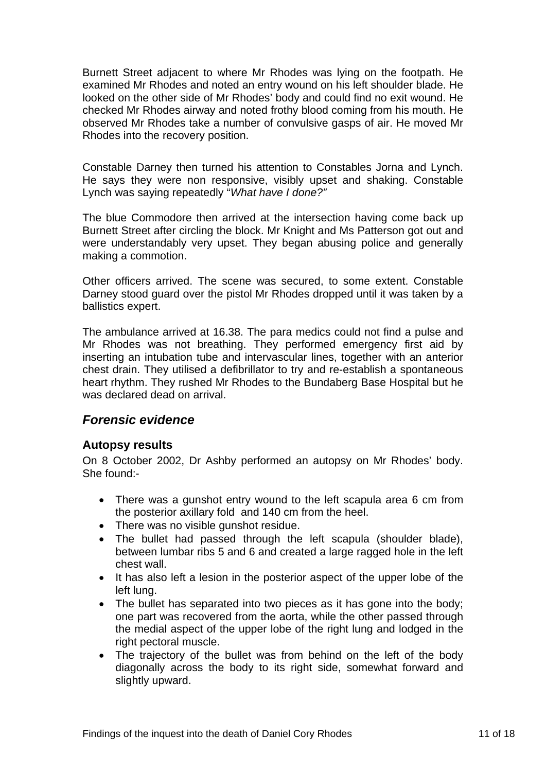<span id="page-12-0"></span>Burnett Street adjacent to where Mr Rhodes was lying on the footpath. He examined Mr Rhodes and noted an entry wound on his left shoulder blade. He looked on the other side of Mr Rhodes' body and could find no exit wound. He checked Mr Rhodes airway and noted frothy blood coming from his mouth. He observed Mr Rhodes take a number of convulsive gasps of air. He moved Mr Rhodes into the recovery position.

Constable Darney then turned his attention to Constables Jorna and Lynch. He says they were non responsive, visibly upset and shaking. Constable Lynch was saying repeatedly "*What have I done?"* 

The blue Commodore then arrived at the intersection having come back up Burnett Street after circling the block. Mr Knight and Ms Patterson got out and were understandably very upset. They began abusing police and generally making a commotion.

Other officers arrived. The scene was secured, to some extent. Constable Darney stood guard over the pistol Mr Rhodes dropped until it was taken by a ballistics expert.

The ambulance arrived at 16.38. The para medics could not find a pulse and Mr Rhodes was not breathing. They performed emergency first aid by inserting an intubation tube and intervascular lines, together with an anterior chest drain. They utilised a defibrillator to try and re-establish a spontaneous heart rhythm. They rushed Mr Rhodes to the Bundaberg Base Hospital but he was declared dead on arrival.

#### *Forensic evidence*

#### **Autopsy results**

On 8 October 2002, Dr Ashby performed an autopsy on Mr Rhodes' body. She found:-

- There was a gunshot entry wound to the left scapula area 6 cm from the posterior axillary fold and 140 cm from the heel.
- There was no visible gunshot residue.
- The bullet had passed through the left scapula (shoulder blade), between lumbar ribs 5 and 6 and created a large ragged hole in the left chest wall.
- It has also left a lesion in the posterior aspect of the upper lobe of the left lung.
- The bullet has separated into two pieces as it has gone into the body; one part was recovered from the aorta, while the other passed through the medial aspect of the upper lobe of the right lung and lodged in the right pectoral muscle.
- The trajectory of the bullet was from behind on the left of the body diagonally across the body to its right side, somewhat forward and slightly upward.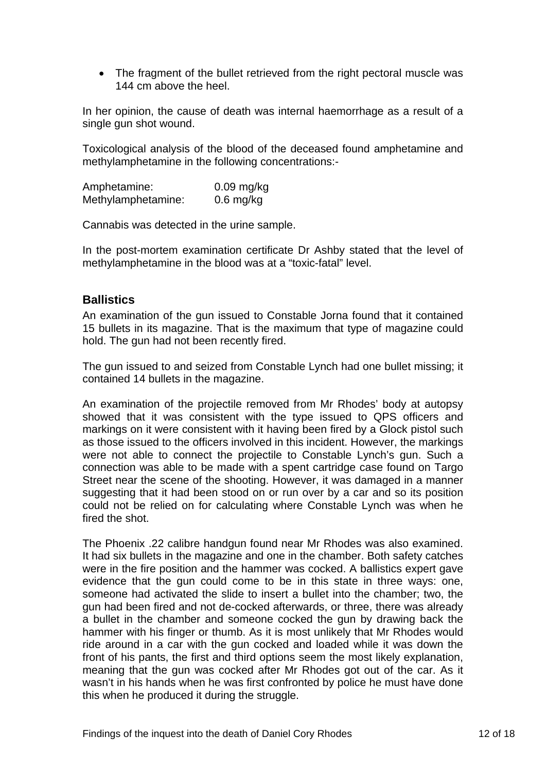<span id="page-13-0"></span>• The fragment of the bullet retrieved from the right pectoral muscle was 144 cm above the heel

In her opinion, the cause of death was internal haemorrhage as a result of a single gun shot wound.

Toxicological analysis of the blood of the deceased found amphetamine and methylamphetamine in the following concentrations:-

Amphetamine: 0.09 mg/kg Methylamphetamine: 0.6 mg/kg

Cannabis was detected in the urine sample.

In the post-mortem examination certificate Dr Ashby stated that the level of methylamphetamine in the blood was at a "toxic-fatal" level.

#### **Ballistics**

An examination of the gun issued to Constable Jorna found that it contained 15 bullets in its magazine. That is the maximum that type of magazine could hold. The gun had not been recently fired.

The gun issued to and seized from Constable Lynch had one bullet missing; it contained 14 bullets in the magazine.

An examination of the projectile removed from Mr Rhodes' body at autopsy showed that it was consistent with the type issued to QPS officers and markings on it were consistent with it having been fired by a Glock pistol such as those issued to the officers involved in this incident. However, the markings were not able to connect the projectile to Constable Lynch's gun. Such a connection was able to be made with a spent cartridge case found on Targo Street near the scene of the shooting. However, it was damaged in a manner suggesting that it had been stood on or run over by a car and so its position could not be relied on for calculating where Constable Lynch was when he fired the shot.

The Phoenix .22 calibre handgun found near Mr Rhodes was also examined. It had six bullets in the magazine and one in the chamber. Both safety catches were in the fire position and the hammer was cocked. A ballistics expert gave evidence that the gun could come to be in this state in three ways: one, someone had activated the slide to insert a bullet into the chamber; two, the gun had been fired and not de-cocked afterwards, or three, there was already a bullet in the chamber and someone cocked the gun by drawing back the hammer with his finger or thumb. As it is most unlikely that Mr Rhodes would ride around in a car with the gun cocked and loaded while it was down the front of his pants, the first and third options seem the most likely explanation, meaning that the gun was cocked after Mr Rhodes got out of the car. As it wasn't in his hands when he was first confronted by police he must have done this when he produced it during the struggle.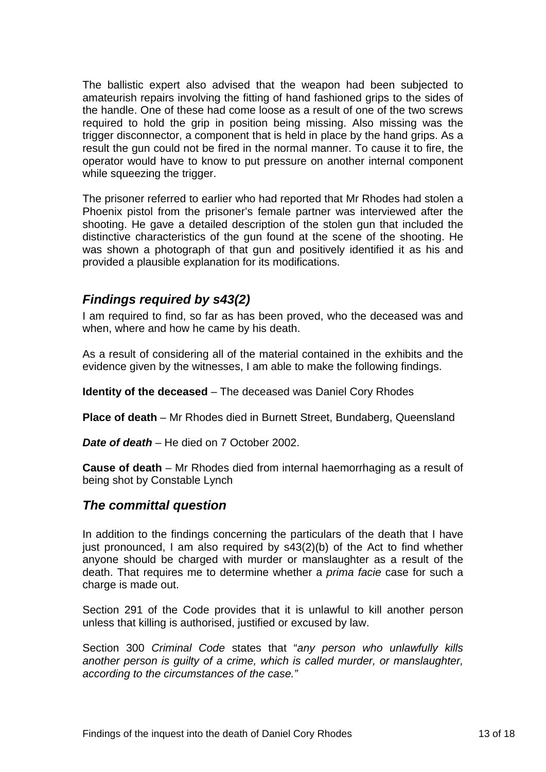<span id="page-14-0"></span>The ballistic expert also advised that the weapon had been subjected to amateurish repairs involving the fitting of hand fashioned grips to the sides of the handle. One of these had come loose as a result of one of the two screws required to hold the grip in position being missing. Also missing was the trigger disconnector, a component that is held in place by the hand grips. As a result the gun could not be fired in the normal manner. To cause it to fire, the operator would have to know to put pressure on another internal component while squeezing the trigger.

The prisoner referred to earlier who had reported that Mr Rhodes had stolen a Phoenix pistol from the prisoner's female partner was interviewed after the shooting. He gave a detailed description of the stolen gun that included the distinctive characteristics of the gun found at the scene of the shooting. He was shown a photograph of that gun and positively identified it as his and provided a plausible explanation for its modifications.

# *Findings required by s43(2)*

I am required to find, so far as has been proved, who the deceased was and when, where and how he came by his death.

As a result of considering all of the material contained in the exhibits and the evidence given by the witnesses, I am able to make the following findings.

**Identity of the deceased** – The deceased was Daniel Cory Rhodes

**Place of death** – Mr Rhodes died in Burnett Street, Bundaberg, Queensland

*Date of death* – He died on 7 October 2002.

**Cause of death** – Mr Rhodes died from internal haemorrhaging as a result of being shot by Constable Lynch

# *The committal question*

In addition to the findings concerning the particulars of the death that I have just pronounced, I am also required by s43(2)(b) of the Act to find whether anyone should be charged with murder or manslaughter as a result of the death. That requires me to determine whether a *prima facie* case for such a charge is made out.

Section 291 of the Code provides that it is unlawful to kill another person unless that killing is authorised, justified or excused by law.

Section 300 *Criminal Code* states that "*any person who unlawfully kills another person is guilty of a crime, which is called murder, or manslaughter, according to the circumstances of the case."*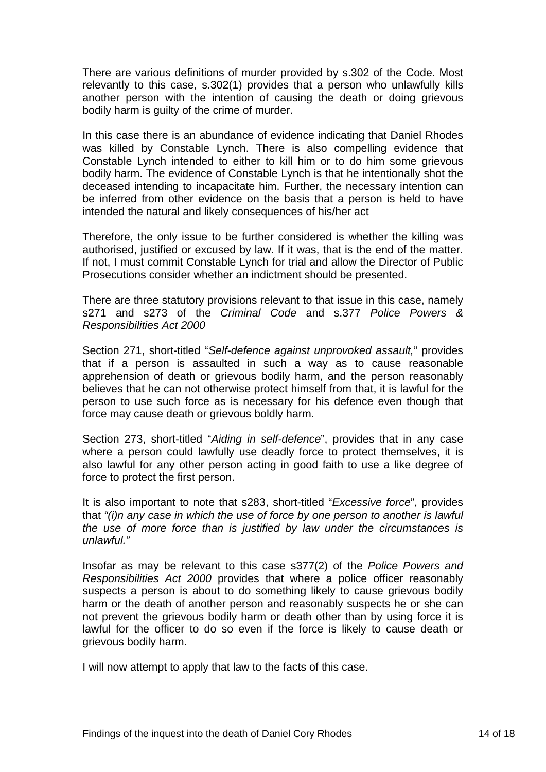There are various definitions of murder provided by s.302 of the Code. Most relevantly to this case, s.302(1) provides that a person who unlawfully kills another person with the intention of causing the death or doing grievous bodily harm is guilty of the crime of murder.

In this case there is an abundance of evidence indicating that Daniel Rhodes was killed by Constable Lynch. There is also compelling evidence that Constable Lynch intended to either to kill him or to do him some grievous bodily harm. The evidence of Constable Lynch is that he intentionally shot the deceased intending to incapacitate him. Further, the necessary intention can be inferred from other evidence on the basis that a person is held to have intended the natural and likely consequences of his/her act

Therefore, the only issue to be further considered is whether the killing was authorised, justified or excused by law. If it was, that is the end of the matter. If not, I must commit Constable Lynch for trial and allow the Director of Public Prosecutions consider whether an indictment should be presented.

There are three statutory provisions relevant to that issue in this case, namely s271 and s273 of the *Criminal Code* and s.377 *Police Powers & Responsibilities Act 2000*

Section 271, short-titled "*Self-defence against unprovoked assault,*" provides that if a person is assaulted in such a way as to cause reasonable apprehension of death or grievous bodily harm, and the person reasonably believes that he can not otherwise protect himself from that, it is lawful for the person to use such force as is necessary for his defence even though that force may cause death or grievous boldly harm.

Section 273, short-titled "*Aiding in self-defence*", provides that in any case where a person could lawfully use deadly force to protect themselves, it is also lawful for any other person acting in good faith to use a like degree of force to protect the first person.

It is also important to note that s283, short-titled "*Excessive force*", provides that *"(i)n any case in which the use of force by one person to another is lawful the use of more force than is justified by law under the circumstances is unlawful."* 

Insofar as may be relevant to this case s377(2) of the *Police Powers and Responsibilities Act 2000* provides that where a police officer reasonably suspects a person is about to do something likely to cause grievous bodily harm or the death of another person and reasonably suspects he or she can not prevent the grievous bodily harm or death other than by using force it is lawful for the officer to do so even if the force is likely to cause death or grievous bodily harm.

I will now attempt to apply that law to the facts of this case.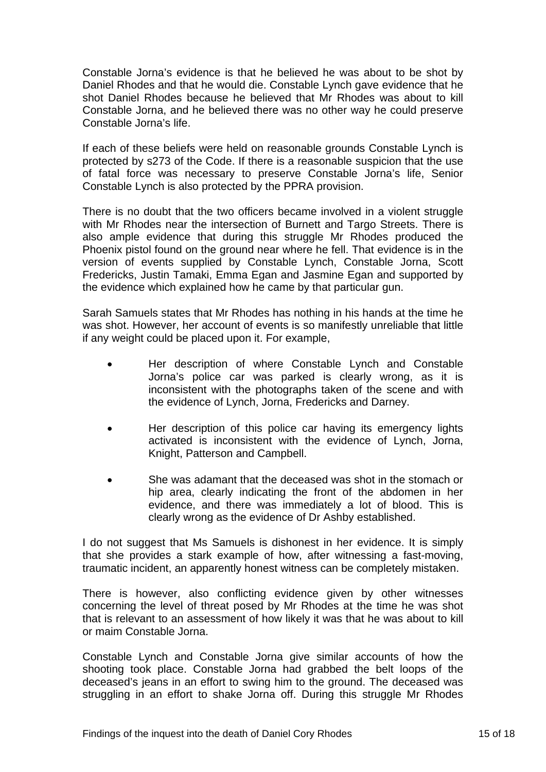Constable Jorna's evidence is that he believed he was about to be shot by Daniel Rhodes and that he would die. Constable Lynch gave evidence that he shot Daniel Rhodes because he believed that Mr Rhodes was about to kill Constable Jorna, and he believed there was no other way he could preserve Constable Jorna's life.

If each of these beliefs were held on reasonable grounds Constable Lynch is protected by s273 of the Code. If there is a reasonable suspicion that the use of fatal force was necessary to preserve Constable Jorna's life, Senior Constable Lynch is also protected by the PPRA provision.

There is no doubt that the two officers became involved in a violent struggle with Mr Rhodes near the intersection of Burnett and Targo Streets. There is also ample evidence that during this struggle Mr Rhodes produced the Phoenix pistol found on the ground near where he fell. That evidence is in the version of events supplied by Constable Lynch, Constable Jorna, Scott Fredericks, Justin Tamaki, Emma Egan and Jasmine Egan and supported by the evidence which explained how he came by that particular gun.

Sarah Samuels states that Mr Rhodes has nothing in his hands at the time he was shot. However, her account of events is so manifestly unreliable that little if any weight could be placed upon it. For example,

- Her description of where Constable Lynch and Constable Jorna's police car was parked is clearly wrong, as it is inconsistent with the photographs taken of the scene and with the evidence of Lynch, Jorna, Fredericks and Darney.
- Her description of this police car having its emergency lights activated is inconsistent with the evidence of Lynch, Jorna, Knight, Patterson and Campbell.
- She was adamant that the deceased was shot in the stomach or hip area, clearly indicating the front of the abdomen in her evidence, and there was immediately a lot of blood. This is clearly wrong as the evidence of Dr Ashby established.

I do not suggest that Ms Samuels is dishonest in her evidence. It is simply that she provides a stark example of how, after witnessing a fast-moving, traumatic incident, an apparently honest witness can be completely mistaken.

There is however, also conflicting evidence given by other witnesses concerning the level of threat posed by Mr Rhodes at the time he was shot that is relevant to an assessment of how likely it was that he was about to kill or maim Constable Jorna.

Constable Lynch and Constable Jorna give similar accounts of how the shooting took place. Constable Jorna had grabbed the belt loops of the deceased's jeans in an effort to swing him to the ground. The deceased was struggling in an effort to shake Jorna off. During this struggle Mr Rhodes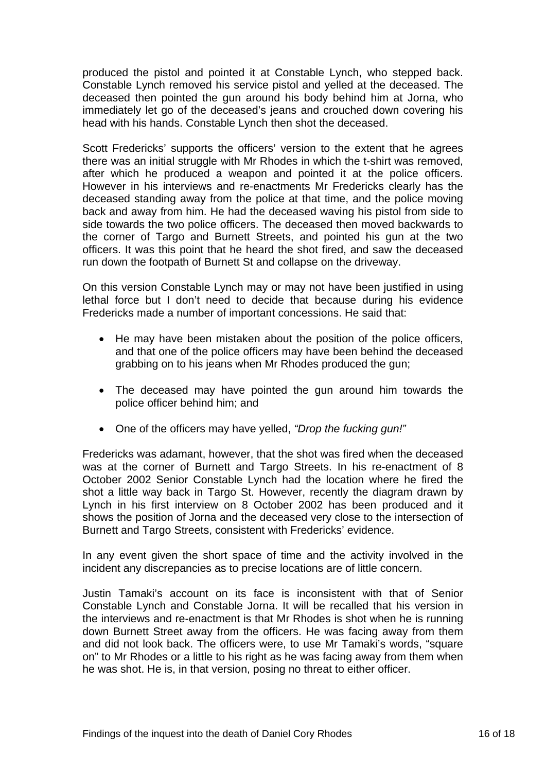produced the pistol and pointed it at Constable Lynch, who stepped back. Constable Lynch removed his service pistol and yelled at the deceased. The deceased then pointed the gun around his body behind him at Jorna, who immediately let go of the deceased's jeans and crouched down covering his head with his hands. Constable Lynch then shot the deceased.

Scott Fredericks' supports the officers' version to the extent that he agrees there was an initial struggle with Mr Rhodes in which the t-shirt was removed, after which he produced a weapon and pointed it at the police officers. However in his interviews and re-enactments Mr Fredericks clearly has the deceased standing away from the police at that time, and the police moving back and away from him. He had the deceased waving his pistol from side to side towards the two police officers. The deceased then moved backwards to the corner of Targo and Burnett Streets, and pointed his gun at the two officers. It was this point that he heard the shot fired, and saw the deceased run down the footpath of Burnett St and collapse on the driveway.

On this version Constable Lynch may or may not have been justified in using lethal force but I don't need to decide that because during his evidence Fredericks made a number of important concessions. He said that:

- He may have been mistaken about the position of the police officers, and that one of the police officers may have been behind the deceased grabbing on to his jeans when Mr Rhodes produced the gun;
- The deceased may have pointed the gun around him towards the police officer behind him; and
- One of the officers may have yelled, *"Drop the fucking gun!"*

Fredericks was adamant, however, that the shot was fired when the deceased was at the corner of Burnett and Targo Streets. In his re-enactment of 8 October 2002 Senior Constable Lynch had the location where he fired the shot a little way back in Targo St. However, recently the diagram drawn by Lynch in his first interview on 8 October 2002 has been produced and it shows the position of Jorna and the deceased very close to the intersection of Burnett and Targo Streets, consistent with Fredericks' evidence.

In any event given the short space of time and the activity involved in the incident any discrepancies as to precise locations are of little concern.

Justin Tamaki's account on its face is inconsistent with that of Senior Constable Lynch and Constable Jorna. It will be recalled that his version in the interviews and re-enactment is that Mr Rhodes is shot when he is running down Burnett Street away from the officers. He was facing away from them and did not look back. The officers were, to use Mr Tamaki's words, "square on" to Mr Rhodes or a little to his right as he was facing away from them when he was shot. He is, in that version, posing no threat to either officer.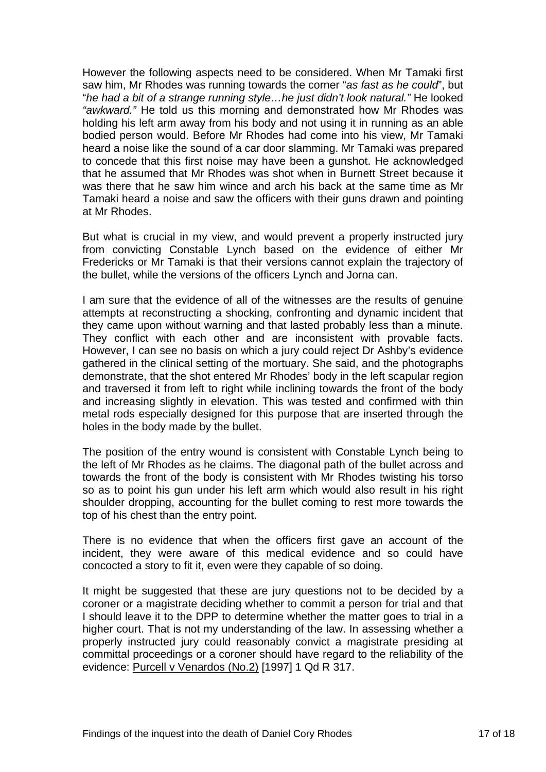However the following aspects need to be considered. When Mr Tamaki first saw him, Mr Rhodes was running towards the corner "*as fast as he could*", but "*he had a bit of a strange running style…he just didn't look natural."* He looked *"awkward."* He told us this morning and demonstrated how Mr Rhodes was holding his left arm away from his body and not using it in running as an able bodied person would. Before Mr Rhodes had come into his view, Mr Tamaki heard a noise like the sound of a car door slamming. Mr Tamaki was prepared to concede that this first noise may have been a gunshot. He acknowledged that he assumed that Mr Rhodes was shot when in Burnett Street because it was there that he saw him wince and arch his back at the same time as Mr Tamaki heard a noise and saw the officers with their guns drawn and pointing at Mr Rhodes.

But what is crucial in my view, and would prevent a properly instructed jury from convicting Constable Lynch based on the evidence of either Mr Fredericks or Mr Tamaki is that their versions cannot explain the trajectory of the bullet, while the versions of the officers Lynch and Jorna can.

I am sure that the evidence of all of the witnesses are the results of genuine attempts at reconstructing a shocking, confronting and dynamic incident that they came upon without warning and that lasted probably less than a minute. They conflict with each other and are inconsistent with provable facts. However, I can see no basis on which a jury could reject Dr Ashby's evidence gathered in the clinical setting of the mortuary. She said, and the photographs demonstrate, that the shot entered Mr Rhodes' body in the left scapular region and traversed it from left to right while inclining towards the front of the body and increasing slightly in elevation. This was tested and confirmed with thin metal rods especially designed for this purpose that are inserted through the holes in the body made by the bullet.

The position of the entry wound is consistent with Constable Lynch being to the left of Mr Rhodes as he claims. The diagonal path of the bullet across and towards the front of the body is consistent with Mr Rhodes twisting his torso so as to point his gun under his left arm which would also result in his right shoulder dropping, accounting for the bullet coming to rest more towards the top of his chest than the entry point.

There is no evidence that when the officers first gave an account of the incident, they were aware of this medical evidence and so could have concocted a story to fit it, even were they capable of so doing.

It might be suggested that these are jury questions not to be decided by a coroner or a magistrate deciding whether to commit a person for trial and that I should leave it to the DPP to determine whether the matter goes to trial in a higher court. That is not my understanding of the law. In assessing whether a properly instructed jury could reasonably convict a magistrate presiding at committal proceedings or a coroner should have regard to the reliability of the evidence: Purcell v Venardos (No.2) [1997] 1 Qd R 317.